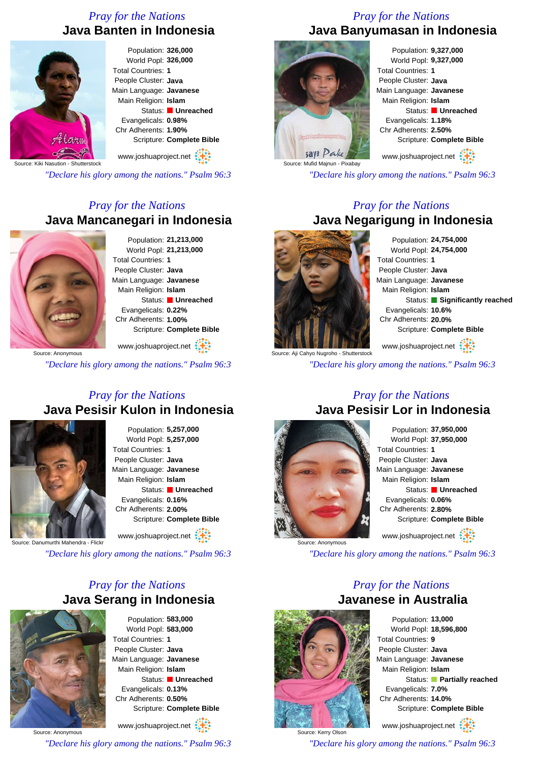# *Pray for the Nations* **Java Banten in Indonesia**



#### Population: **326,000** World Popl: **326,000** Total Countries: **1** People Cluster: **Java** Main Language: **Javanese** Main Religion: **Islam** Status: **Unreached** Evangelicals: **0.98%** Chr Adherents: **1.90%** Scripture: **Complete Bible**

Source: Kiki Nasution - Shutterstock www.joshuaproject.net

*"Declare his glory among the nations." Psalm 96:3*

# *Pray for the Nations* **Java Mancanegari in Indonesia**



Population: **21,213,000** World Popl: **21,213,000** Total Countries: **1** People Cluster: **Java** Main Language: **Javanese** Main Religion: **Islam** Status: **Unreached** Evangelicals: **0.22%** Chr Adherents: **1.00%** Scripture: **Complete Bible**

www.joshuaproject.net

*"Declare his glory among the nations." Psalm 96:3*

### *Pray for the Nations* **Java Pesisir Kulon in Indonesia**



Population: **5,257,000** World Popl: **5,257,000** Total Countries: **1** People Cluster: **Java** Main Language: **Javanese** Main Religion: **Islam** Status: **Unreached** Evangelicals: **0.16%** Chr Adherents: **2.00%** Scripture: **Complete Bible**

www.joshuaproject.net

Source: Danumurthi Mahendra - Flickr

*"Declare his glory among the nations." Psalm 96:3*

# *Pray for the Nations* **Java Serang in Indonesia**



Population: **583,000** World Popl: **583,000** Total Countries: **1** People Cluster: **Java** Main Language: **Javanese** Main Religion: **Islam** Status: **Unreached** Evangelicals: **0.13%** Chr Adherents: **0.50%** Scripture: **Complete Bible** www.joshuaproject.net

Source: Anonymous

*"Declare his glory among the nations." Psalm 96:3*

### *Pray for the Nations* **Java Banyumasan in Indonesia**



Population: **9,327,000** World Popl: **9,327,000** Total Countries: **1** People Cluster: **Java** Main Language: **Javanese** Main Religion: **Islam** Status: **Unreached** Evangelicals: **1.18%** Chr Adherents: **2.50%** Scripture: **Complete Bible** www.joshuaproject.net

*"Declare his glory among the nations." Psalm 96:3*

### *Pray for the Nations* **Java Negarigung in Indonesia**



Population: **24,754,000** World Popl: **24,754,000** Total Countries: **1** People Cluster: **Java** Main Language: **Javanese** Main Religion: **Islam** Status: **Significantly reached** Evangelicals: **10.6%** Chr Adherents: **20.0%** Scripture: **Complete Bible** www.joshuaproject.net

ce: Aji Cahyo Nugroho - Shutterstock

*"Declare his glory among the nations." Psalm 96:3*

### *Pray for the Nations* **Java Pesisir Lor in Indonesia**



Population: **37,950,000** World Popl: **37,950,000** Total Countries: **1** People Cluster: **Java** Main Language: **Javanese** Main Religion: **Islam** Status: **Unreached** Evangelicals: **0.06%** Chr Adherents: **2.80%** Scripture: **Complete Bible** www.joshuaproject.net

*"Declare his glory among the nations." Psalm 96:3*

### *Pray for the Nations* **Javanese in Australia**



Source: Kerry Olson

Population: **13,000** World Popl: **18,596,800** Total Countries: **9** People Cluster: **Java** Main Language: **Javanese** Main Religion: **Islam** Status: **Partially reached** Evangelicals: **7.0%** Chr Adherents: **14.0%** Scripture: **Complete Bible** www.joshuaproject.net

*"Declare his glory among the nations." Psalm 96:3*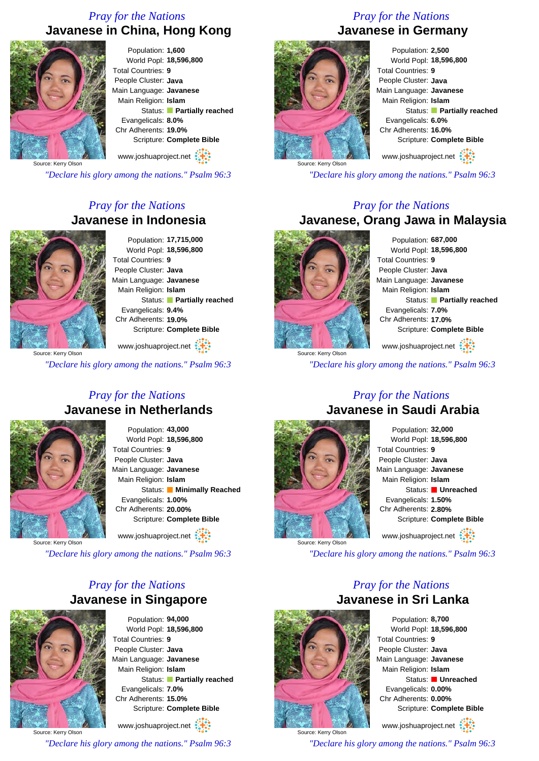# *Pray for the Nations* **Javanese in China, Hong Kong**



Population: **1,600** World Popl: **18,596,800** Total Countries: **9** People Cluster: **Java** Main Language: **Javanese** Main Religion: **Islam** Status: **Partially reached** Evangelicals: **8.0%** Chr Adherents: **19.0%** Scripture: **Complete Bible**

www.joshuaproject.net

Source: Kerry Olson

*"Declare his glory among the nations." Psalm 96:3*

# *Pray for the Nations* **Javanese in Indonesia**



Population: **17,715,000** World Popl: **18,596,800** Total Countries: **9** People Cluster: **Java** Main Language: **Javanese** Main Religion: **Islam** Status: **Partially reached** Evangelicals: **9.4%** Chr Adherents: **19.0%** Scripture: **Complete Bible**

www.joshuaproject.net

*"Declare his glory among the nations." Psalm 96:3*

### *Pray for the Nations* **Javanese in Netherlands**



Population: **43,000** World Popl: **18,596,800** Total Countries: **9** People Cluster: **Java** Main Language: **Javanese** Main Religion: **Islam** Status: **Minimally Reached** Evangelicals: **1.00%** Chr Adherents: **20.00%** Scripture: **Complete Bible** www.joshuaproject.net

Source: Kerry Olson

*"Declare his glory among the nations." Psalm 96:3*

# *Pray for the Nations* **Javanese in Singapore**



Population: **94,000** World Popl: **18,596,800** Total Countries: **9** People Cluster: **Java** Main Language: **Javanese** Main Religion: **Islam** Status: **Partially reached** Evangelicals: **7.0%** Chr Adherents: **15.0%** Scripture: **Complete Bible** www.joshuaproject.net

Source: Kerry Olson *"Declare his glory among the nations." Psalm 96:3*

# *Pray for the Nations*





Population: **2,500** World Popl: **18,596,800** Total Countries: **9** People Cluster: **Java** Main Language: **Javanese** Main Religion: **Islam** Status: **Partially reached** Evangelicals: **6.0%** Chr Adherents: **16.0%** Scripture: **Complete Bible**

www.joshuaproject.net

*"Declare his glory among the nations." Psalm 96:3*

### *Pray for the Nations* **Javanese, Orang Jawa in Malaysia**



Population: **687,000** World Popl: **18,596,800** Total Countries: **9** People Cluster: **Java** Main Language: **Javanese** Main Religion: **Islam** Status: **Partially reached** Evangelicals: **7.0%** Chr Adherents: **17.0%** Scripture: **Complete Bible** www.joshuaproject.net

*"Declare his glory among the nations." Psalm 96:3*

### *Pray for the Nations* **Javanese in Saudi Arabia**



Population: **32,000** World Popl: **18,596,800** Total Countries: **9** People Cluster: **Java** Main Language: **Javanese** Main Religion: **Islam** Status: **Unreached** Evangelicals: **1.50%** Chr Adherents: **2.80%** Scripture: **Complete Bible** www.joshuaproject.net

*"Declare his glory among the nations." Psalm 96:3*

### *Pray for the Nations* **Javanese in Sri Lanka**



Source: Kerry Olson

Population: **8,700** World Popl: **18,596,800** Total Countries: **9** People Cluster: **Java** Main Language: **Javanese** Main Religion: **Islam** Status: **Unreached** Evangelicals: **0.00%** Chr Adherents: **0.00%** Scripture: **Complete Bible** www.joshuaproject.net

*"Declare his glory among the nations." Psalm 96:3*